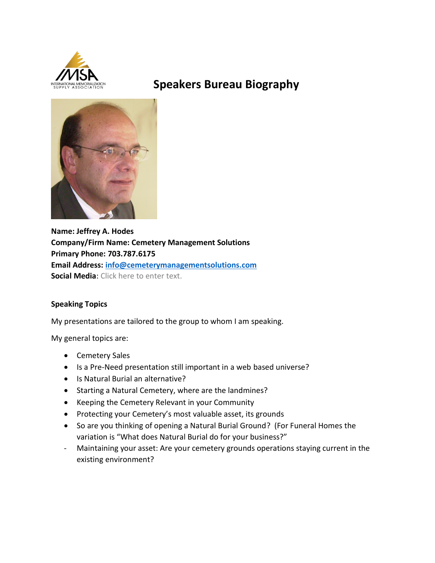

# **Speakers Bureau Biography**



**Name: Jeffrey A. Hodes Company/Firm Name: Cemetery Management Solutions Primary Phone: 703.787.6175 Email Address: [info@cemeterymanagementsolutions.com](mailto:info@cemeterymanagementsolutions.com) Social Media**: Click here to enter text.

# **Speaking Topics**

My presentations are tailored to the group to whom I am speaking.

My general topics are:

- Cemetery Sales
- Is a Pre-Need presentation still important in a web based universe?
- Is Natural Burial an alternative?
- Starting a Natural Cemetery, where are the landmines?
- Keeping the Cemetery Relevant in your Community
- Protecting your Cemetery's most valuable asset, its grounds
- So are you thinking of opening a Natural Burial Ground? (For Funeral Homes the variation is "What does Natural Burial do for your business?"
- Maintaining your asset: Are your cemetery grounds operations staying current in the existing environment?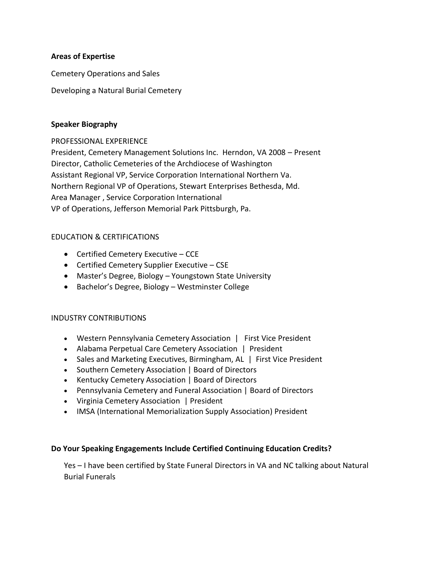#### **Areas of Expertise**

Cemetery Operations and Sales

Developing a Natural Burial Cemetery

#### **Speaker Biography**

PROFESSIONAL EXPERIENCE

President, Cemetery Management Solutions Inc. Herndon, VA 2008 – Present Director, Catholic Cemeteries of the Archdiocese of Washington Assistant Regional VP, Service Corporation International Northern Va. Northern Regional VP of Operations, Stewart Enterprises Bethesda, Md. Area Manager , Service Corporation International VP of Operations, Jefferson Memorial Park Pittsburgh, Pa.

# EDUCATION & CERTIFICATIONS

- Certified Cemetery Executive CCE
- Certified Cemetery Supplier Executive CSE
- Master's Degree, Biology Youngstown State University
- Bachelor's Degree, Biology Westminster College

# INDUSTRY CONTRIBUTIONS

- Western Pennsylvania Cemetery Association | First Vice President
- Alabama Perpetual Care Cemetery Association | President
- Sales and Marketing Executives, Birmingham, AL | First Vice President
- Southern Cemetery Association | Board of Directors
- Kentucky Cemetery Association | Board of Directors
- Pennsylvania Cemetery and Funeral Association | Board of Directors
- Virginia Cemetery Association | President
- IMSA (International Memorialization Supply Association) President

#### **Do Your Speaking Engagements Include Certified Continuing Education Credits?**

Yes – I have been certified by State Funeral Directors in VA and NC talking about Natural Burial Funerals